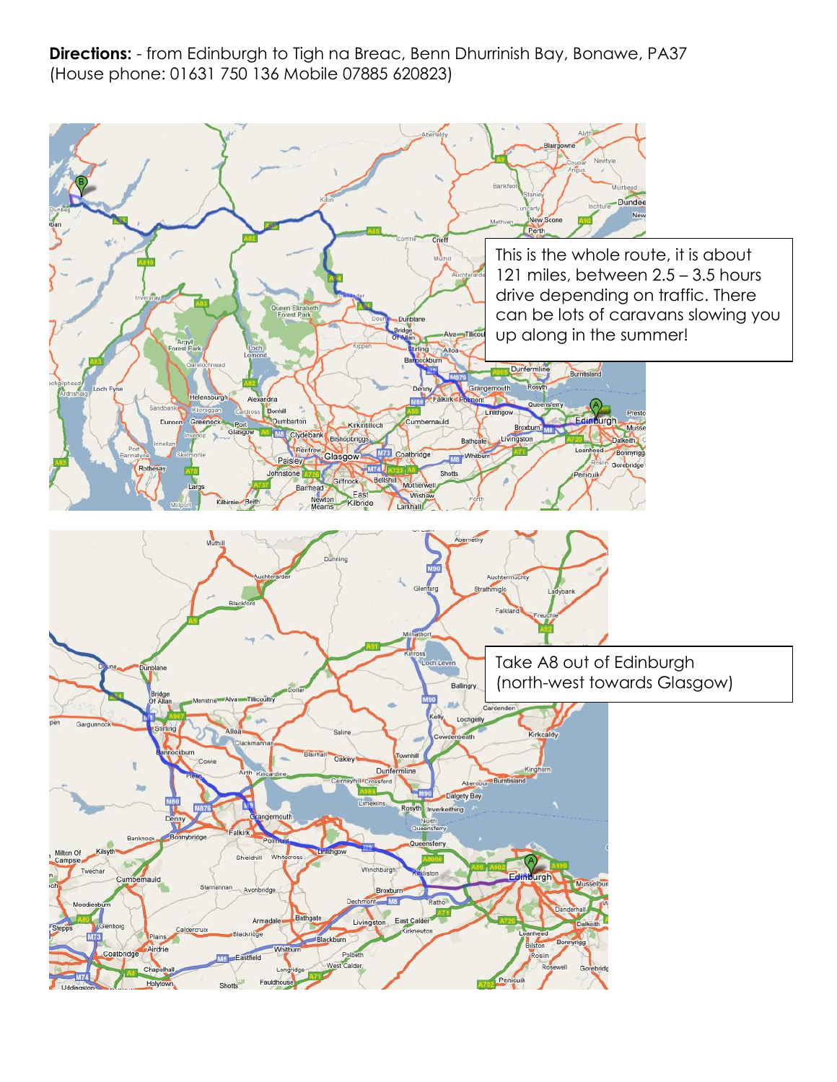**Directions:** - from Edinburgh to Tigh na Breac, Benn Dhurrinish Bay, Bonawe, PA37 (House phone: 01631 750 136 Mobile 07885 620823)

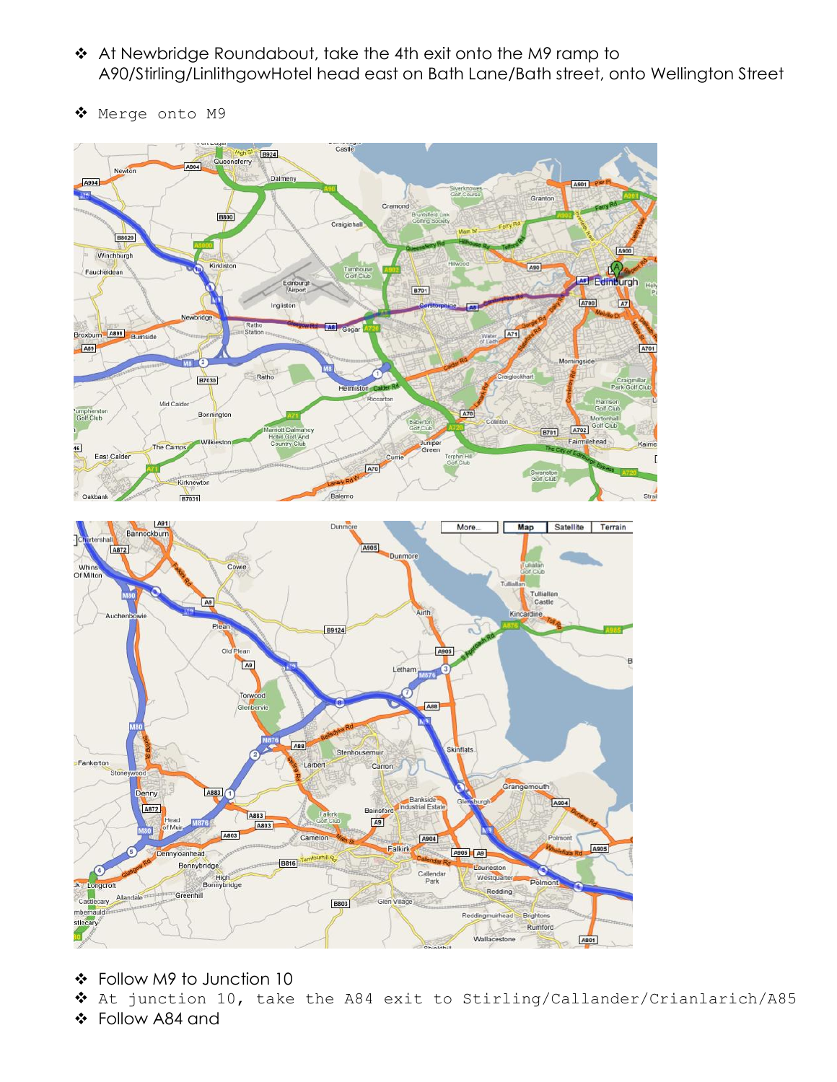- ◆ At Newbridge Roundabout, take the 4th exit onto the M9 ramp to A90/Stirling/LinlithgowHotel head east on Bath Lane/Bath street, onto Wellington Street
- ◆ Merge onto M9



- Follow M9 to Junction 10
- At junction 10, take the A84 exit to Stirling/Callander/Crianlarich/A85
- Follow A84 and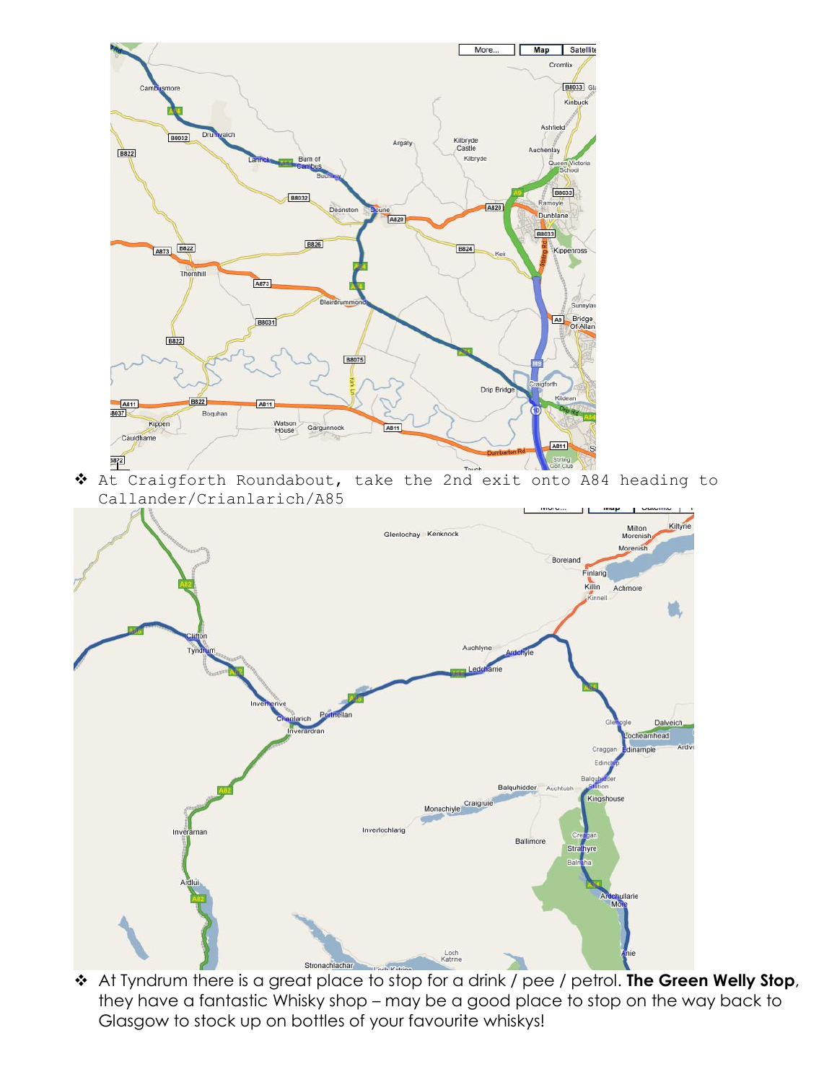

 At Craigforth Roundabout, take the 2nd exit onto A84 heading to Callander/Crianlarich/A85



 At Tyndrum there is a great place to stop for a drink / pee / petrol. **The Green Welly Stop**, they have a fantastic Whisky shop – may be a good place to stop on the way back to Glasgow to stock up on bottles of your favourite whiskys!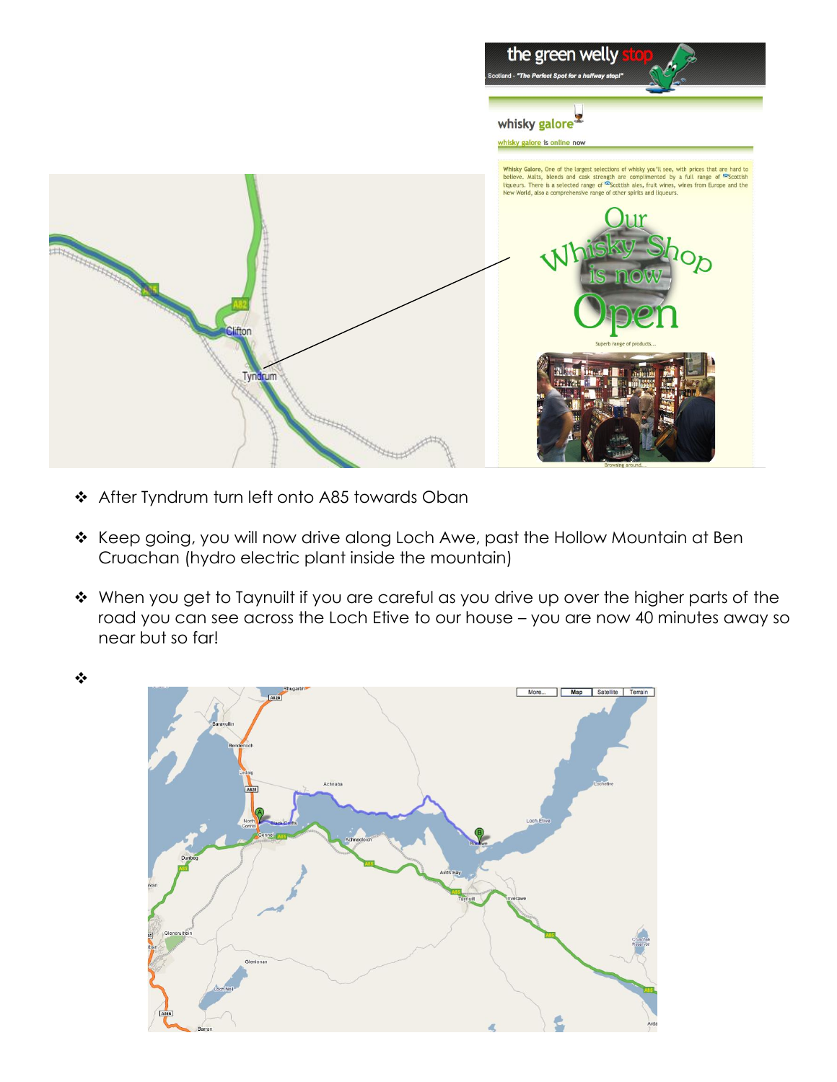

After Tyndrum turn left onto A85 towards Oban

❖

- \* Keep going, you will now drive along Loch Awe, past the Hollow Mountain at Ben Cruachan (hydro electric plant inside the mountain)
- \* When you get to Taynuilt if you are careful as you drive up over the higher parts of the road you can see across the Loch Etive to our house – you are now 40 minutes away so near but so far!

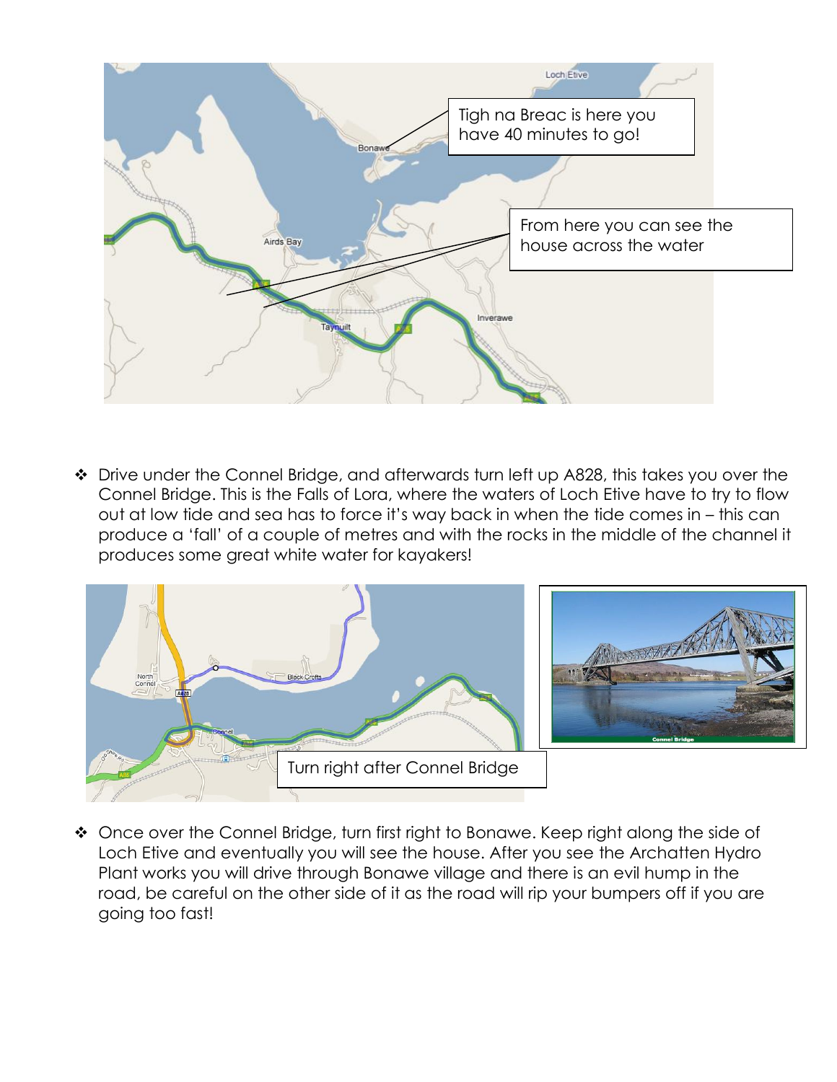

◆ Drive under the Connel Bridge, and afterwards turn left up A828, this takes you over the Connel Bridge. This is the Falls of Lora, where the waters of Loch Etive have to try to flow out at low tide and sea has to force it's way back in when the tide comes in – this can produce a 'fall' of a couple of metres and with the rocks in the middle of the channel it produces some great white water for kayakers!



◆ Once over the Connel Bridge, turn first right to Bonawe. Keep right along the side of Loch Etive and eventually you will see the house. After you see the Archatten Hydro Plant works you will drive through Bonawe village and there is an evil hump in the road, be careful on the other side of it as the road will rip your bumpers off if you are going too fast!